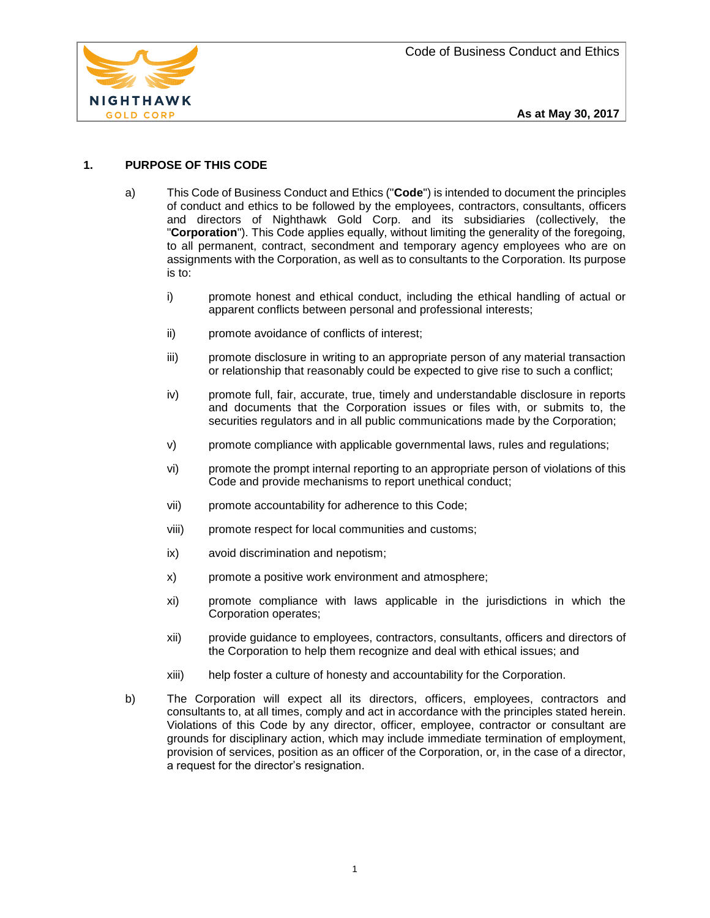

# **1. PURPOSE OF THIS CODE**

- a) This Code of Business Conduct and Ethics ("**Code**") is intended to document the principles of conduct and ethics to be followed by the employees, contractors, consultants, officers and directors of Nighthawk Gold Corp. and its subsidiaries (collectively, the "**Corporation**"). This Code applies equally, without limiting the generality of the foregoing, to all permanent, contract, secondment and temporary agency employees who are on assignments with the Corporation, as well as to consultants to the Corporation. Its purpose is to:
	- i) promote honest and ethical conduct, including the ethical handling of actual or apparent conflicts between personal and professional interests;
	- ii) promote avoidance of conflicts of interest;
	- iii) promote disclosure in writing to an appropriate person of any material transaction or relationship that reasonably could be expected to give rise to such a conflict;
	- iv) promote full, fair, accurate, true, timely and understandable disclosure in reports and documents that the Corporation issues or files with, or submits to, the securities regulators and in all public communications made by the Corporation;
	- v) promote compliance with applicable governmental laws, rules and regulations;
	- vi) promote the prompt internal reporting to an appropriate person of violations of this Code and provide mechanisms to report unethical conduct;
	- vii) promote accountability for adherence to this Code;
	- viii) promote respect for local communities and customs;
	- ix) avoid discrimination and nepotism;
	- x) promote a positive work environment and atmosphere;
	- xi) promote compliance with laws applicable in the jurisdictions in which the Corporation operates;
	- xii) provide guidance to employees, contractors, consultants, officers and directors of the Corporation to help them recognize and deal with ethical issues; and
	- xiii) help foster a culture of honesty and accountability for the Corporation.
- b) The Corporation will expect all its directors, officers, employees, contractors and consultants to, at all times, comply and act in accordance with the principles stated herein. Violations of this Code by any director, officer, employee, contractor or consultant are grounds for disciplinary action, which may include immediate termination of employment, provision of services, position as an officer of the Corporation, or, in the case of a director, a request for the director's resignation.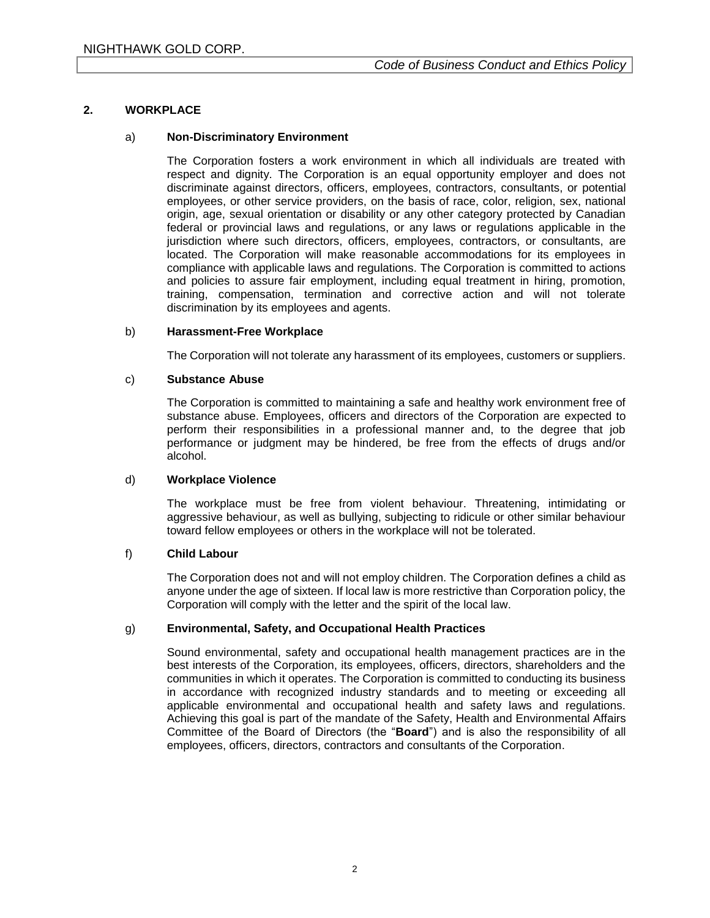## **2. WORKPLACE**

### a) **Non-Discriminatory Environment**

The Corporation fosters a work environment in which all individuals are treated with respect and dignity. The Corporation is an equal opportunity employer and does not discriminate against directors, officers, employees, contractors, consultants, or potential employees, or other service providers, on the basis of race, color, religion, sex, national origin, age, sexual orientation or disability or any other category protected by Canadian federal or provincial laws and regulations, or any laws or regulations applicable in the jurisdiction where such directors, officers, employees, contractors, or consultants, are located. The Corporation will make reasonable accommodations for its employees in compliance with applicable laws and regulations. The Corporation is committed to actions and policies to assure fair employment, including equal treatment in hiring, promotion, training, compensation, termination and corrective action and will not tolerate discrimination by its employees and agents.

### b) **Harassment-Free Workplace**

The Corporation will not tolerate any harassment of its employees, customers or suppliers.

## c) **Substance Abuse**

The Corporation is committed to maintaining a safe and healthy work environment free of substance abuse. Employees, officers and directors of the Corporation are expected to perform their responsibilities in a professional manner and, to the degree that job performance or judgment may be hindered, be free from the effects of drugs and/or alcohol.

### d) **Workplace Violence**

The workplace must be free from violent behaviour. Threatening, intimidating or aggressive behaviour, as well as bullying, subjecting to ridicule or other similar behaviour toward fellow employees or others in the workplace will not be tolerated.

## f) **Child Labour**

The Corporation does not and will not employ children. The Corporation defines a child as anyone under the age of sixteen. If local law is more restrictive than Corporation policy, the Corporation will comply with the letter and the spirit of the local law.

## g) **Environmental, Safety, and Occupational Health Practices**

Sound environmental, safety and occupational health management practices are in the best interests of the Corporation, its employees, officers, directors, shareholders and the communities in which it operates. The Corporation is committed to conducting its business in accordance with recognized industry standards and to meeting or exceeding all applicable environmental and occupational health and safety laws and regulations. Achieving this goal is part of the mandate of the Safety, Health and Environmental Affairs Committee of the Board of Directors (the "**Board**") and is also the responsibility of all employees, officers, directors, contractors and consultants of the Corporation.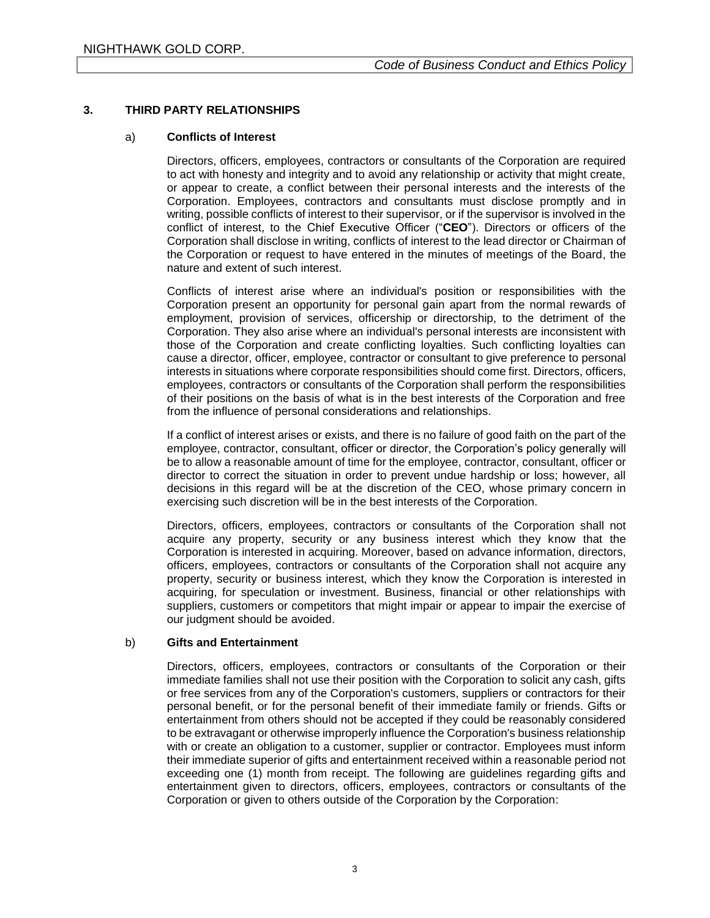## **3. THIRD PARTY RELATIONSHIPS**

### a) **Conflicts of Interest**

Directors, officers, employees, contractors or consultants of the Corporation are required to act with honesty and integrity and to avoid any relationship or activity that might create, or appear to create, a conflict between their personal interests and the interests of the Corporation. Employees, contractors and consultants must disclose promptly and in writing, possible conflicts of interest to their supervisor, or if the supervisor is involved in the conflict of interest, to the Chief Executive Officer ("**CEO**"). Directors or officers of the Corporation shall disclose in writing, conflicts of interest to the lead director or Chairman of the Corporation or request to have entered in the minutes of meetings of the Board, the nature and extent of such interest.

Conflicts of interest arise where an individual's position or responsibilities with the Corporation present an opportunity for personal gain apart from the normal rewards of employment, provision of services, officership or directorship, to the detriment of the Corporation. They also arise where an individual's personal interests are inconsistent with those of the Corporation and create conflicting loyalties. Such conflicting loyalties can cause a director, officer, employee, contractor or consultant to give preference to personal interests in situations where corporate responsibilities should come first. Directors, officers, employees, contractors or consultants of the Corporation shall perform the responsibilities of their positions on the basis of what is in the best interests of the Corporation and free from the influence of personal considerations and relationships.

If a conflict of interest arises or exists, and there is no failure of good faith on the part of the employee, contractor, consultant, officer or director, the Corporation's policy generally will be to allow a reasonable amount of time for the employee, contractor, consultant, officer or director to correct the situation in order to prevent undue hardship or loss; however, all decisions in this regard will be at the discretion of the CEO, whose primary concern in exercising such discretion will be in the best interests of the Corporation.

Directors, officers, employees, contractors or consultants of the Corporation shall not acquire any property, security or any business interest which they know that the Corporation is interested in acquiring. Moreover, based on advance information, directors, officers, employees, contractors or consultants of the Corporation shall not acquire any property, security or business interest, which they know the Corporation is interested in acquiring, for speculation or investment. Business, financial or other relationships with suppliers, customers or competitors that might impair or appear to impair the exercise of our judgment should be avoided.

### b) **Gifts and Entertainment**

Directors, officers, employees, contractors or consultants of the Corporation or their immediate families shall not use their position with the Corporation to solicit any cash, gifts or free services from any of the Corporation's customers, suppliers or contractors for their personal benefit, or for the personal benefit of their immediate family or friends. Gifts or entertainment from others should not be accepted if they could be reasonably considered to be extravagant or otherwise improperly influence the Corporation's business relationship with or create an obligation to a customer, supplier or contractor. Employees must inform their immediate superior of gifts and entertainment received within a reasonable period not exceeding one (1) month from receipt. The following are guidelines regarding gifts and entertainment given to directors, officers, employees, contractors or consultants of the Corporation or given to others outside of the Corporation by the Corporation: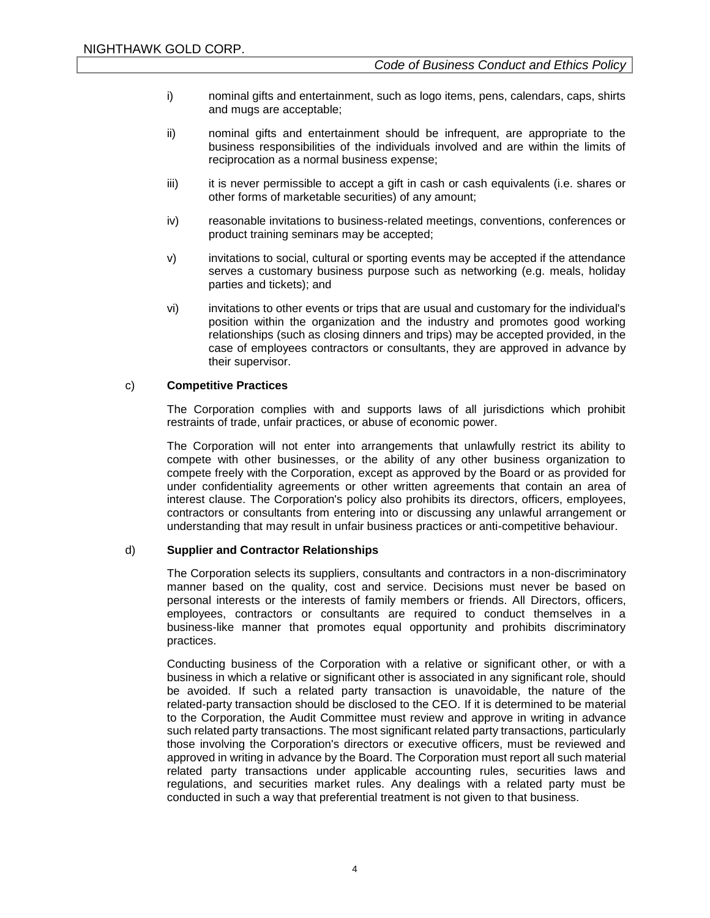- i) nominal gifts and entertainment, such as logo items, pens, calendars, caps, shirts and mugs are acceptable;
- ii) nominal gifts and entertainment should be infrequent, are appropriate to the business responsibilities of the individuals involved and are within the limits of reciprocation as a normal business expense;
- iii) it is never permissible to accept a gift in cash or cash equivalents (i.e. shares or other forms of marketable securities) of any amount;
- iv) reasonable invitations to business-related meetings, conventions, conferences or product training seminars may be accepted;
- v) invitations to social, cultural or sporting events may be accepted if the attendance serves a customary business purpose such as networking (e.g. meals, holiday parties and tickets); and
- vi) invitations to other events or trips that are usual and customary for the individual's position within the organization and the industry and promotes good working relationships (such as closing dinners and trips) may be accepted provided, in the case of employees contractors or consultants, they are approved in advance by their supervisor.

### c) **Competitive Practices**

The Corporation complies with and supports laws of all jurisdictions which prohibit restraints of trade, unfair practices, or abuse of economic power.

The Corporation will not enter into arrangements that unlawfully restrict its ability to compete with other businesses, or the ability of any other business organization to compete freely with the Corporation, except as approved by the Board or as provided for under confidentiality agreements or other written agreements that contain an area of interest clause. The Corporation's policy also prohibits its directors, officers, employees, contractors or consultants from entering into or discussing any unlawful arrangement or understanding that may result in unfair business practices or anti-competitive behaviour.

### d) **Supplier and Contractor Relationships**

The Corporation selects its suppliers, consultants and contractors in a non-discriminatory manner based on the quality, cost and service. Decisions must never be based on personal interests or the interests of family members or friends. All Directors, officers, employees, contractors or consultants are required to conduct themselves in a business-like manner that promotes equal opportunity and prohibits discriminatory practices.

Conducting business of the Corporation with a relative or significant other, or with a business in which a relative or significant other is associated in any significant role, should be avoided. If such a related party transaction is unavoidable, the nature of the related-party transaction should be disclosed to the CEO. If it is determined to be material to the Corporation, the Audit Committee must review and approve in writing in advance such related party transactions. The most significant related party transactions, particularly those involving the Corporation's directors or executive officers, must be reviewed and approved in writing in advance by the Board. The Corporation must report all such material related party transactions under applicable accounting rules, securities laws and regulations, and securities market rules. Any dealings with a related party must be conducted in such a way that preferential treatment is not given to that business.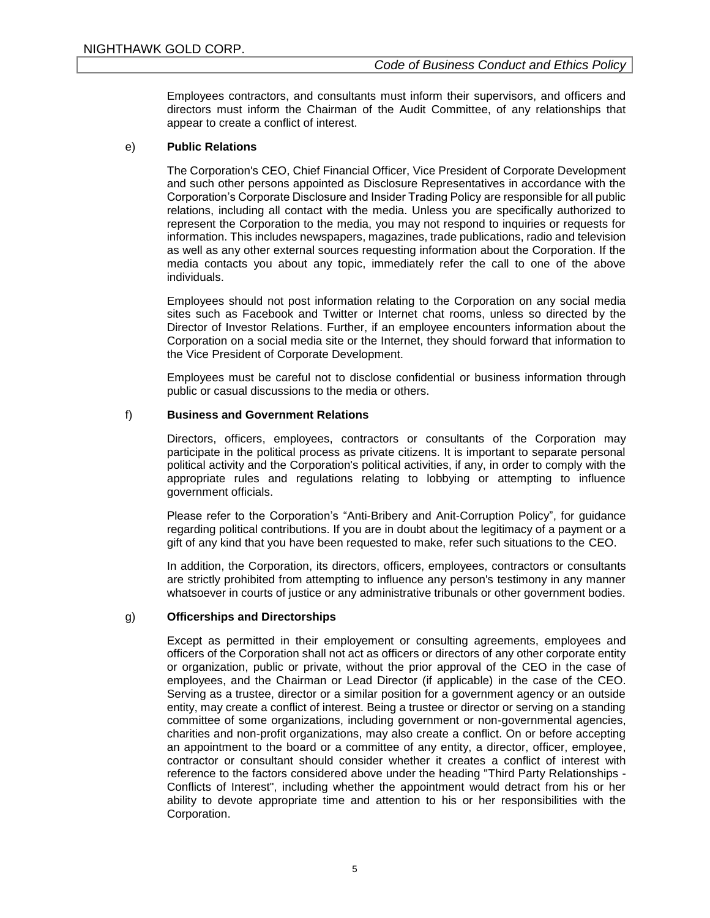Employees contractors, and consultants must inform their supervisors, and officers and directors must inform the Chairman of the Audit Committee, of any relationships that appear to create a conflict of interest.

### e) **Public Relations**

The Corporation's CEO, Chief Financial Officer, Vice President of Corporate Development and such other persons appointed as Disclosure Representatives in accordance with the Corporation's Corporate Disclosure and Insider Trading Policy are responsible for all public relations, including all contact with the media. Unless you are specifically authorized to represent the Corporation to the media, you may not respond to inquiries or requests for information. This includes newspapers, magazines, trade publications, radio and television as well as any other external sources requesting information about the Corporation. If the media contacts you about any topic, immediately refer the call to one of the above individuals.

Employees should not post information relating to the Corporation on any social media sites such as Facebook and Twitter or Internet chat rooms, unless so directed by the Director of Investor Relations. Further, if an employee encounters information about the Corporation on a social media site or the Internet, they should forward that information to the Vice President of Corporate Development.

Employees must be careful not to disclose confidential or business information through public or casual discussions to the media or others.

## f) **Business and Government Relations**

Directors, officers, employees, contractors or consultants of the Corporation may participate in the political process as private citizens. It is important to separate personal political activity and the Corporation's political activities, if any, in order to comply with the appropriate rules and regulations relating to lobbying or attempting to influence government officials.

Please refer to the Corporation's "Anti-Bribery and Anit-Corruption Policy", for guidance regarding political contributions. If you are in doubt about the legitimacy of a payment or a gift of any kind that you have been requested to make, refer such situations to the CEO.

In addition, the Corporation, its directors, officers, employees, contractors or consultants are strictly prohibited from attempting to influence any person's testimony in any manner whatsoever in courts of justice or any administrative tribunals or other government bodies.

### g) **Officerships and Directorships**

Except as permitted in their employement or consulting agreements, employees and officers of the Corporation shall not act as officers or directors of any other corporate entity or organization, public or private, without the prior approval of the CEO in the case of employees, and the Chairman or Lead Director (if applicable) in the case of the CEO. Serving as a trustee, director or a similar position for a government agency or an outside entity, may create a conflict of interest. Being a trustee or director or serving on a standing committee of some organizations, including government or non-governmental agencies, charities and non-profit organizations, may also create a conflict. On or before accepting an appointment to the board or a committee of any entity, a director, officer, employee, contractor or consultant should consider whether it creates a conflict of interest with reference to the factors considered above under the heading "Third Party Relationships - Conflicts of Interest", including whether the appointment would detract from his or her ability to devote appropriate time and attention to his or her responsibilities with the Corporation.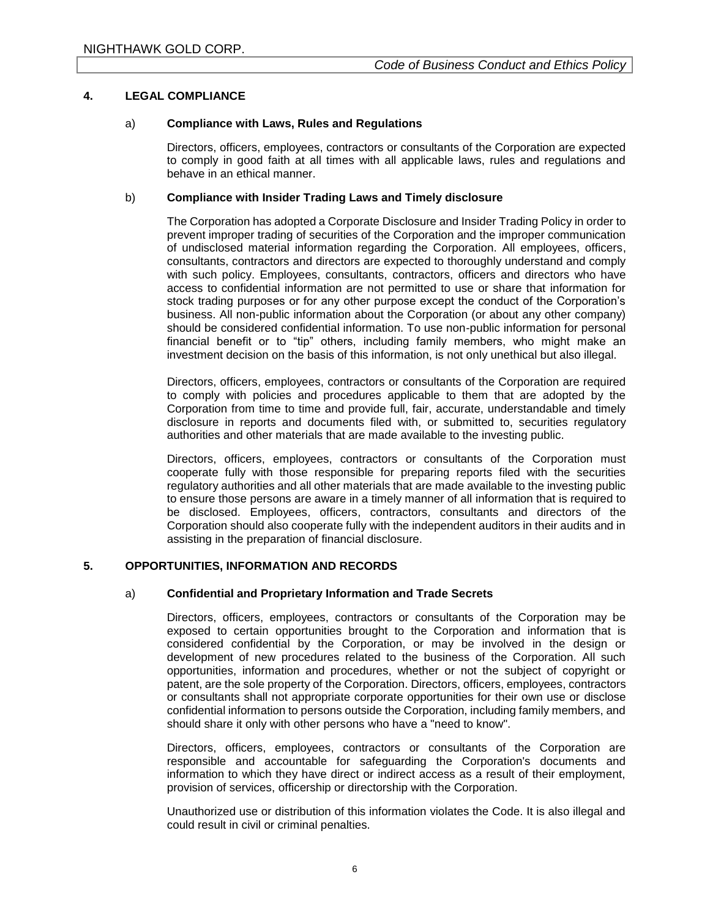## **4. LEGAL COMPLIANCE**

## a) **Compliance with Laws, Rules and Regulations**

Directors, officers, employees, contractors or consultants of the Corporation are expected to comply in good faith at all times with all applicable laws, rules and regulations and behave in an ethical manner.

## b) **Compliance with Insider Trading Laws and Timely disclosure**

The Corporation has adopted a Corporate Disclosure and Insider Trading Policy in order to prevent improper trading of securities of the Corporation and the improper communication of undisclosed material information regarding the Corporation. All employees, officers, consultants, contractors and directors are expected to thoroughly understand and comply with such policy. Employees, consultants, contractors, officers and directors who have access to confidential information are not permitted to use or share that information for stock trading purposes or for any other purpose except the conduct of the Corporation's business. All non-public information about the Corporation (or about any other company) should be considered confidential information. To use non-public information for personal financial benefit or to "tip" others, including family members, who might make an investment decision on the basis of this information, is not only unethical but also illegal.

Directors, officers, employees, contractors or consultants of the Corporation are required to comply with policies and procedures applicable to them that are adopted by the Corporation from time to time and provide full, fair, accurate, understandable and timely disclosure in reports and documents filed with, or submitted to, securities regulatory authorities and other materials that are made available to the investing public.

Directors, officers, employees, contractors or consultants of the Corporation must cooperate fully with those responsible for preparing reports filed with the securities regulatory authorities and all other materials that are made available to the investing public to ensure those persons are aware in a timely manner of all information that is required to be disclosed. Employees, officers, contractors, consultants and directors of the Corporation should also cooperate fully with the independent auditors in their audits and in assisting in the preparation of financial disclosure.

## **5. OPPORTUNITIES, INFORMATION AND RECORDS**

### a) **Confidential and Proprietary Information and Trade Secrets**

Directors, officers, employees, contractors or consultants of the Corporation may be exposed to certain opportunities brought to the Corporation and information that is considered confidential by the Corporation, or may be involved in the design or development of new procedures related to the business of the Corporation. All such opportunities, information and procedures, whether or not the subject of copyright or patent, are the sole property of the Corporation. Directors, officers, employees, contractors or consultants shall not appropriate corporate opportunities for their own use or disclose confidential information to persons outside the Corporation, including family members, and should share it only with other persons who have a "need to know".

Directors, officers, employees, contractors or consultants of the Corporation are responsible and accountable for safeguarding the Corporation's documents and information to which they have direct or indirect access as a result of their employment, provision of services, officership or directorship with the Corporation.

Unauthorized use or distribution of this information violates the Code. It is also illegal and could result in civil or criminal penalties.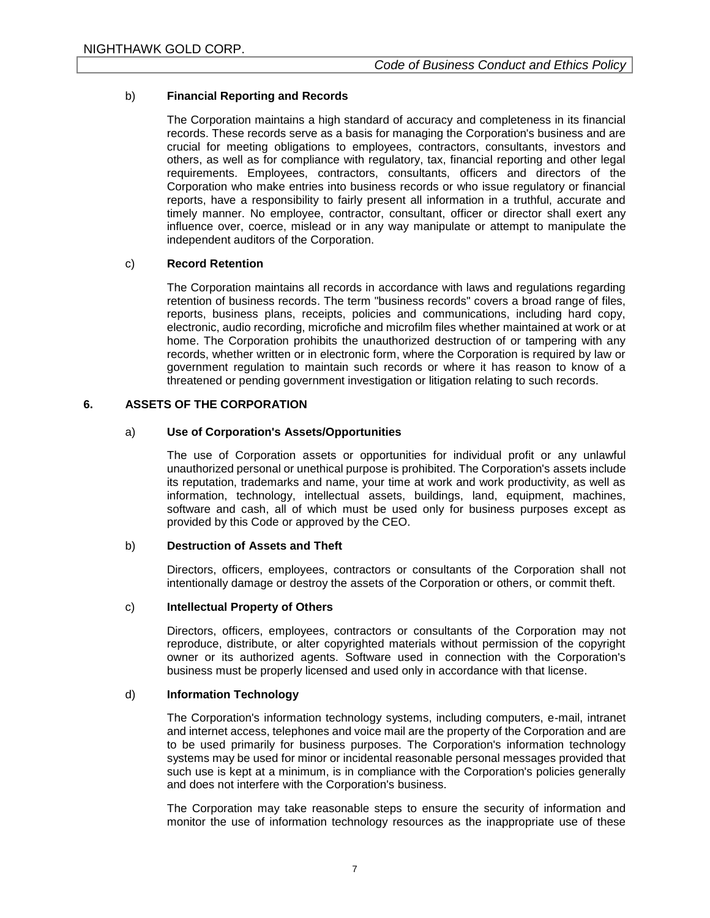## b) **Financial Reporting and Records**

The Corporation maintains a high standard of accuracy and completeness in its financial records. These records serve as a basis for managing the Corporation's business and are crucial for meeting obligations to employees, contractors, consultants, investors and others, as well as for compliance with regulatory, tax, financial reporting and other legal requirements. Employees, contractors, consultants, officers and directors of the Corporation who make entries into business records or who issue regulatory or financial reports, have a responsibility to fairly present all information in a truthful, accurate and timely manner. No employee, contractor, consultant, officer or director shall exert any influence over, coerce, mislead or in any way manipulate or attempt to manipulate the independent auditors of the Corporation.

## c) **Record Retention**

The Corporation maintains all records in accordance with laws and regulations regarding retention of business records. The term "business records" covers a broad range of files, reports, business plans, receipts, policies and communications, including hard copy, electronic, audio recording, microfiche and microfilm files whether maintained at work or at home. The Corporation prohibits the unauthorized destruction of or tampering with any records, whether written or in electronic form, where the Corporation is required by law or government regulation to maintain such records or where it has reason to know of a threatened or pending government investigation or litigation relating to such records.

## **6. ASSETS OF THE CORPORATION**

## a) **Use of Corporation's Assets/Opportunities**

The use of Corporation assets or opportunities for individual profit or any unlawful unauthorized personal or unethical purpose is prohibited. The Corporation's assets include its reputation, trademarks and name, your time at work and work productivity, as well as information, technology, intellectual assets, buildings, land, equipment, machines, software and cash, all of which must be used only for business purposes except as provided by this Code or approved by the CEO.

### b) **Destruction of Assets and Theft**

Directors, officers, employees, contractors or consultants of the Corporation shall not intentionally damage or destroy the assets of the Corporation or others, or commit theft.

### c) **Intellectual Property of Others**

Directors, officers, employees, contractors or consultants of the Corporation may not reproduce, distribute, or alter copyrighted materials without permission of the copyright owner or its authorized agents. Software used in connection with the Corporation's business must be properly licensed and used only in accordance with that license.

### d) **Information Technology**

The Corporation's information technology systems, including computers, e-mail, intranet and internet access, telephones and voice mail are the property of the Corporation and are to be used primarily for business purposes. The Corporation's information technology systems may be used for minor or incidental reasonable personal messages provided that such use is kept at a minimum, is in compliance with the Corporation's policies generally and does not interfere with the Corporation's business.

The Corporation may take reasonable steps to ensure the security of information and monitor the use of information technology resources as the inappropriate use of these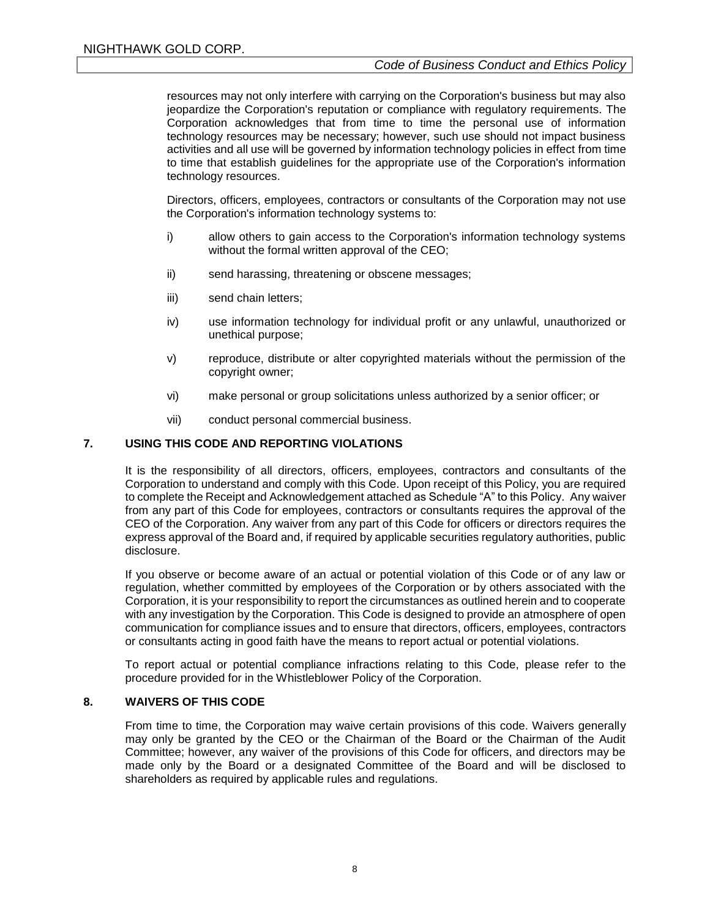resources may not only interfere with carrying on the Corporation's business but may also jeopardize the Corporation's reputation or compliance with regulatory requirements. The Corporation acknowledges that from time to time the personal use of information technology resources may be necessary; however, such use should not impact business activities and all use will be governed by information technology policies in effect from time to time that establish guidelines for the appropriate use of the Corporation's information technology resources.

Directors, officers, employees, contractors or consultants of the Corporation may not use the Corporation's information technology systems to:

- i) allow others to gain access to the Corporation's information technology systems without the formal written approval of the CEO;
- ii) send harassing, threatening or obscene messages;
- iii) send chain letters;
- iv) use information technology for individual profit or any unlawful, unauthorized or unethical purpose;
- v) reproduce, distribute or alter copyrighted materials without the permission of the copyright owner;
- vi) make personal or group solicitations unless authorized by a senior officer; or
- vii) conduct personal commercial business.

#### **7. USING THIS CODE AND REPORTING VIOLATIONS**

It is the responsibility of all directors, officers, employees, contractors and consultants of the Corporation to understand and comply with this Code. Upon receipt of this Policy, you are required to complete the Receipt and Acknowledgement attached as Schedule "A" to this Policy. Any waiver from any part of this Code for employees, contractors or consultants requires the approval of the CEO of the Corporation. Any waiver from any part of this Code for officers or directors requires the express approval of the Board and, if required by applicable securities regulatory authorities, public disclosure.

If you observe or become aware of an actual or potential violation of this Code or of any law or regulation, whether committed by employees of the Corporation or by others associated with the Corporation, it is your responsibility to report the circumstances as outlined herein and to cooperate with any investigation by the Corporation. This Code is designed to provide an atmosphere of open communication for compliance issues and to ensure that directors, officers, employees, contractors or consultants acting in good faith have the means to report actual or potential violations.

To report actual or potential compliance infractions relating to this Code, please refer to the procedure provided for in the Whistleblower Policy of the Corporation.

### **8. WAIVERS OF THIS CODE**

From time to time, the Corporation may waive certain provisions of this code. Waivers generally may only be granted by the CEO or the Chairman of the Board or the Chairman of the Audit Committee; however, any waiver of the provisions of this Code for officers, and directors may be made only by the Board or a designated Committee of the Board and will be disclosed to shareholders as required by applicable rules and regulations.